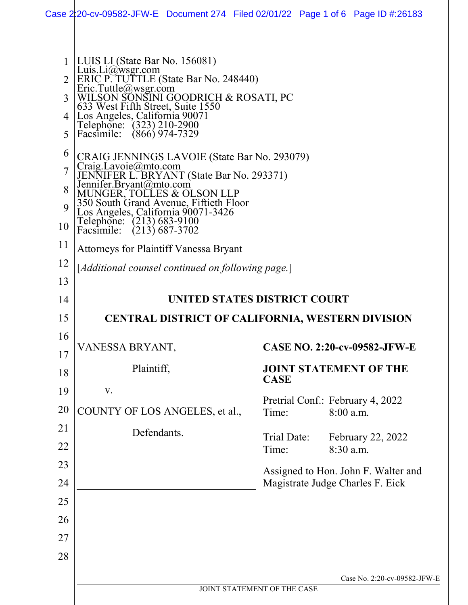|                        | Case 2:20-cv-09582-JFW-E Document 274 Filed 02/01/22 Page 1 of 6 Page ID #:26183                                                                                                                                                                                                                                     |  |                              |             |           |                                                                         |                              |
|------------------------|----------------------------------------------------------------------------------------------------------------------------------------------------------------------------------------------------------------------------------------------------------------------------------------------------------------------|--|------------------------------|-------------|-----------|-------------------------------------------------------------------------|------------------------------|
| 3<br>4<br>5            | LUIS LI (State Bar No. 156081)<br>Luis.Li@wsgr.com<br>ERIC P. TUTTLE (State Bar No. 248440)<br>Eric.Tuttle@wsgr.com<br>WILSON SONSINI GOODRICH & ROSATI, PC<br>633 West Fifth Street, Suite 1550<br>Los Angeles, California 90071<br>Telephone: (323) 210-2900<br>Facsimile: (866) 974-7329                          |  |                              |             |           |                                                                         |                              |
| 6<br>7<br>8<br>9<br>10 | CRAIG JENNINGS LAVOIE (State Bar No. 293079)<br>Craig.Lavoie@mto.com<br>JENNIFER L. BRYANT (State Bar No. 293371)<br>Jennifer.Bryant@mto.com<br>MUNGER, TOLLES & OLSON LLP<br>350 South Grand Avenue, Fiftieth Floor<br>Los Angeles, California 90071-3426<br>Telephone: (213) 683-9100<br>Facsimile: (213) 687-3702 |  |                              |             |           |                                                                         |                              |
| 11<br>12<br>13         | <b>Attorneys for Plaintiff Vanessa Bryant</b><br>[Additional counsel continued on following page.]                                                                                                                                                                                                                   |  |                              |             |           |                                                                         |                              |
| 14                     |                                                                                                                                                                                                                                                                                                                      |  | UNITED STATES DISTRICT COURT |             |           |                                                                         |                              |
| 15                     | <b>CENTRAL DISTRICT OF CALIFORNIA, WESTERN DIVISION</b>                                                                                                                                                                                                                                                              |  |                              |             |           |                                                                         |                              |
| 16                     | VANESSA BRYANT,                                                                                                                                                                                                                                                                                                      |  |                              |             |           | <b>CASE NO. 2:20-cv-09582-JFW-E</b>                                     |                              |
| 17<br>18               | Plaintiff,                                                                                                                                                                                                                                                                                                           |  |                              |             |           | <b>JOINT STATEMENT OF THE</b>                                           |                              |
| 19                     | V.                                                                                                                                                                                                                                                                                                                   |  | <b>CASE</b>                  |             |           |                                                                         |                              |
| 20                     | COUNTY OF LOS ANGELES, et al.,                                                                                                                                                                                                                                                                                       |  | Time:                        |             | 8:00 a.m. | Pretrial Conf.: February 4, 2022                                        |                              |
| 21                     | Defendants.                                                                                                                                                                                                                                                                                                          |  |                              | Trial Date: |           | February 22, 2022                                                       |                              |
| 22<br>23               |                                                                                                                                                                                                                                                                                                                      |  | Time:                        |             | 8:30 a.m. |                                                                         |                              |
| 24                     |                                                                                                                                                                                                                                                                                                                      |  |                              |             |           | Assigned to Hon. John F. Walter and<br>Magistrate Judge Charles F. Eick |                              |
| 25                     |                                                                                                                                                                                                                                                                                                                      |  |                              |             |           |                                                                         |                              |
| 26                     |                                                                                                                                                                                                                                                                                                                      |  |                              |             |           |                                                                         |                              |
| 27                     |                                                                                                                                                                                                                                                                                                                      |  |                              |             |           |                                                                         |                              |
| 28                     |                                                                                                                                                                                                                                                                                                                      |  |                              |             |           |                                                                         |                              |
|                        |                                                                                                                                                                                                                                                                                                                      |  |                              |             |           |                                                                         | Case No. 2:20-cv-09582-JFW-E |
|                        |                                                                                                                                                                                                                                                                                                                      |  | JOINT STATEMENT OF THE CASE  |             |           |                                                                         |                              |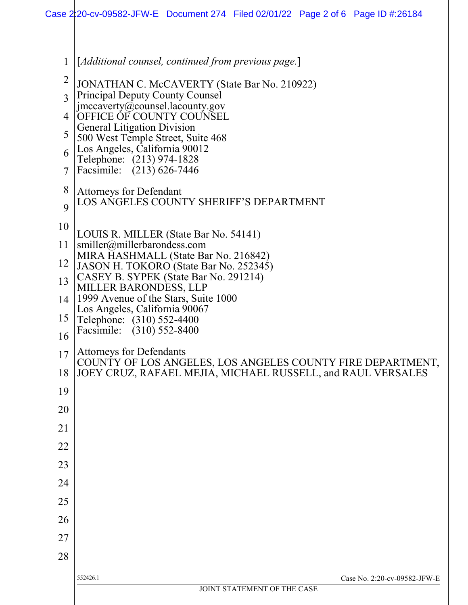| 1              | [Additional counsel, continued from previous page.]                                                |  |  |  |
|----------------|----------------------------------------------------------------------------------------------------|--|--|--|
| $\overline{2}$ | JONATHAN C. McCAVERTY (State Bar No. 210922)                                                       |  |  |  |
| 3              | <b>Principal Deputy County Counsel</b><br>jmccaverty@counsel.lacounty.gov                          |  |  |  |
| 4              | OFFICE OF COUNTY COUNSEL                                                                           |  |  |  |
| 5              | <b>General Litigation Division</b><br>500 West Temple Street, Suite 468                            |  |  |  |
| 6              | Los Angeles, California 90012<br>Telephone: (213) 974-1828                                         |  |  |  |
| 7              | Facsimile: (213) 626-7446                                                                          |  |  |  |
| 8              | <b>Attorneys for Defendant</b>                                                                     |  |  |  |
| 9              | LOS ANGELES COUNTY SHERIFF'S DEPARTMENT                                                            |  |  |  |
| 10             | LOUIS R. MILLER (State Bar No. 54141)                                                              |  |  |  |
| 11             | smiller@millerbarondess.com                                                                        |  |  |  |
| 12             | MIRA HASHMALL (State Bar No. 216842)<br>JASON H. TOKORO (State Bar No. 252345)                     |  |  |  |
| 13             | CASEY B. SYPEK (State Bar No. 291214)<br>MILLER BARONDESS, LLP                                     |  |  |  |
| 14             | 1999 Avenue of the Stars, Suite 1000<br>Los Angeles, California 90067<br>Telephone: (310) 552-4400 |  |  |  |
| 15             |                                                                                                    |  |  |  |
| 16             | Facsimile: (310) 552-8400                                                                          |  |  |  |
| 17             | <b>Attorneys for Defendants</b><br>COUNTY OF LOS ANGELES, LOS ANGELES COUNTY FIRE DEPARTMENT,      |  |  |  |
| 18             | JOEY CRUZ, RAFAEL MEJIA, MICHAEL RUSSELL, and RAUL VERSALES                                        |  |  |  |
| 19             |                                                                                                    |  |  |  |
| 20             |                                                                                                    |  |  |  |
| 21             |                                                                                                    |  |  |  |
| 22             |                                                                                                    |  |  |  |
| 23             |                                                                                                    |  |  |  |
| 24             |                                                                                                    |  |  |  |
| 25             |                                                                                                    |  |  |  |
| 26             |                                                                                                    |  |  |  |
| 27             |                                                                                                    |  |  |  |
| 28             |                                                                                                    |  |  |  |
|                | Case No. 2:20-cv-09582-JFW-E<br>552426.1                                                           |  |  |  |
|                | JOINT STATEMENT OF THE CASE                                                                        |  |  |  |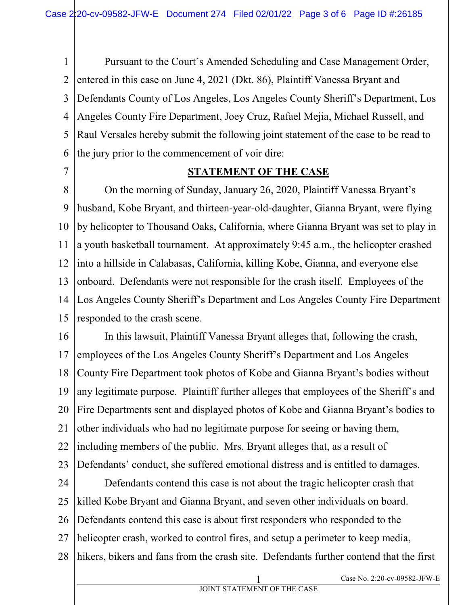1 2 3 4 5 6 Pursuant to the Court's Amended Scheduling and Case Management Order, entered in this case on June 4, 2021 (Dkt. 86), Plaintiff Vanessa Bryant and Defendants County of Los Angeles, Los Angeles County Sheriff's Department, Los Angeles County Fire Department, Joey Cruz, Rafael Mejia, Michael Russell, and Raul Versales hereby submit the following joint statement of the case to be read to the jury prior to the commencement of voir dire:

7

## **STATEMENT OF THE CASE**

8 9 10 11 12 13 14 15 On the morning of Sunday, January 26, 2020, Plaintiff Vanessa Bryant's husband, Kobe Bryant, and thirteen-year-old-daughter, Gianna Bryant, were flying by helicopter to Thousand Oaks, California, where Gianna Bryant was set to play in a youth basketball tournament. At approximately 9:45 a.m., the helicopter crashed into a hillside in Calabasas, California, killing Kobe, Gianna, and everyone else onboard. Defendants were not responsible for the crash itself. Employees of the Los Angeles County Sheriff's Department and Los Angeles County Fire Department responded to the crash scene.

16 17 18 19 20 21 22 23 In this lawsuit, Plaintiff Vanessa Bryant alleges that, following the crash, employees of the Los Angeles County Sheriff's Department and Los Angeles County Fire Department took photos of Kobe and Gianna Bryant's bodies without any legitimate purpose. Plaintiff further alleges that employees of the Sheriff's and Fire Departments sent and displayed photos of Kobe and Gianna Bryant's bodies to other individuals who had no legitimate purpose for seeing or having them, including members of the public. Mrs. Bryant alleges that, as a result of Defendants' conduct, she suffered emotional distress and is entitled to damages.

24 25 26 27 28 Defendants contend this case is not about the tragic helicopter crash that killed Kobe Bryant and Gianna Bryant, and seven other individuals on board. Defendants contend this case is about first responders who responded to the helicopter crash, worked to control fires, and setup a perimeter to keep media, hikers, bikers and fans from the crash site. Defendants further contend that the first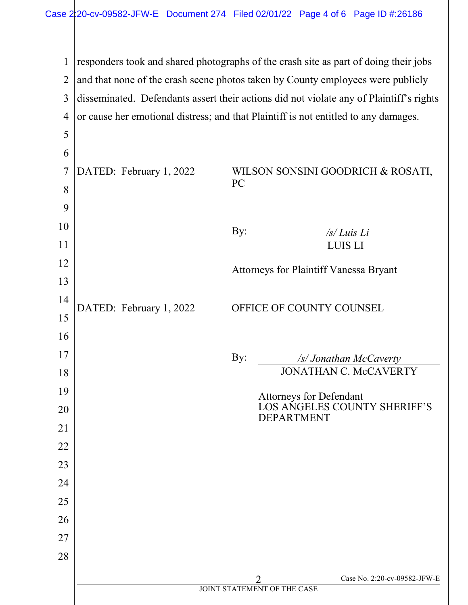responders took and shared photographs of the crash site as part of doing their jobs and that none of the crash scene photos taken by County employees were publicly disseminated. Defendants assert their actions did not violate any of Plaintiff's rights or cause her emotional distress; and that Plaintiff is not entitled to any damages.

| 5              |                         |                                        |                                                         |
|----------------|-------------------------|----------------------------------------|---------------------------------------------------------|
| 6              |                         |                                        |                                                         |
| $\overline{7}$ | DATED: February 1, 2022 |                                        | WILSON SONSINI GOODRICH & ROSATI,                       |
| 8              |                         | PC                                     |                                                         |
| 9              |                         |                                        |                                                         |
| 10             |                         | By:                                    | $\sqrt{s}/L$ <i>uis</i> Li                              |
| 11             |                         |                                        | <b>LUIS LI</b>                                          |
| 12             |                         | Attorneys for Plaintiff Vanessa Bryant |                                                         |
| 13             |                         |                                        |                                                         |
| 14             | DATED: February 1, 2022 | OFFICE OF COUNTY COUNSEL               |                                                         |
| 15             |                         |                                        |                                                         |
| 16             |                         |                                        |                                                         |
| 17             |                         | By:                                    | /s/ Jonathan McCaverty                                  |
| 18             |                         |                                        | <b>JONATHAN C. McCAVERTY</b>                            |
| 19             |                         |                                        | Attorneys for Defendant<br>LOS ANGELES COUNTY SHERIFF'S |
| 20             |                         | <b>DEPARTMENT</b>                      |                                                         |
| 21             |                         |                                        |                                                         |
| 22             |                         |                                        |                                                         |
| 23             |                         |                                        |                                                         |
| 24             |                         |                                        |                                                         |
| 25             |                         |                                        |                                                         |
| 26             |                         |                                        |                                                         |
| 27             |                         |                                        |                                                         |
| 28             |                         |                                        |                                                         |
|                |                         | 2                                      | Case No. 2:20-cv-09582-JFW-E                            |
|                |                         | JOINT STATEMENT OF THE CASE            |                                                         |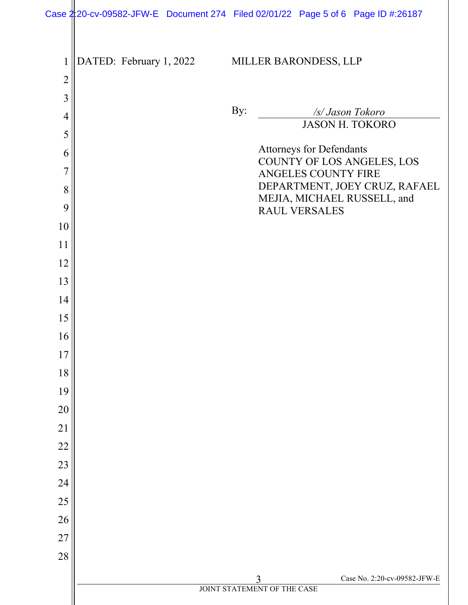| $\mathbf{1}$   | DATED: February 1, 2022 |     | MILLER BARONDESS, LLP           |                                                              |
|----------------|-------------------------|-----|---------------------------------|--------------------------------------------------------------|
| $\overline{2}$ |                         |     |                                 |                                                              |
| 3              |                         |     |                                 |                                                              |
| $\overline{4}$ |                         | By: |                                 | /s/ Jason Tokoro<br><b>JASON H. TOKORO</b>                   |
| 5              |                         |     |                                 |                                                              |
| 6              |                         |     | <b>Attorneys for Defendants</b> | COUNTY OF LOS ANGELES, LOS                                   |
| 7              |                         |     | ANGELES COUNTY FIRE             |                                                              |
| 8              |                         |     |                                 | DEPARTMENT, JOEY CRUZ, RAFAEL<br>MEJIA, MICHAEL RUSSELL, and |
| 9              |                         |     | RAUL VERSALES                   |                                                              |
| 10             |                         |     |                                 |                                                              |
| 11             |                         |     |                                 |                                                              |
| 12             |                         |     |                                 |                                                              |
| 13             |                         |     |                                 |                                                              |
| 14             |                         |     |                                 |                                                              |
| 15             |                         |     |                                 |                                                              |
| 16             |                         |     |                                 |                                                              |
| 17             |                         |     |                                 |                                                              |
| 18             |                         |     |                                 |                                                              |
| 19             |                         |     |                                 |                                                              |
| 20             |                         |     |                                 |                                                              |
| 21             |                         |     |                                 |                                                              |
| 22             |                         |     |                                 |                                                              |
| 23             |                         |     |                                 |                                                              |
| 24             |                         |     |                                 |                                                              |
| 25             |                         |     |                                 |                                                              |
| 26             |                         |     |                                 |                                                              |
| 27             |                         |     |                                 |                                                              |
| 28             |                         |     |                                 |                                                              |
|                |                         |     | 3                               | Case No. 2:20-cv-09582-JFW-E                                 |
|                |                         |     | JOINT STATEMENT OF THE CASE     |                                                              |